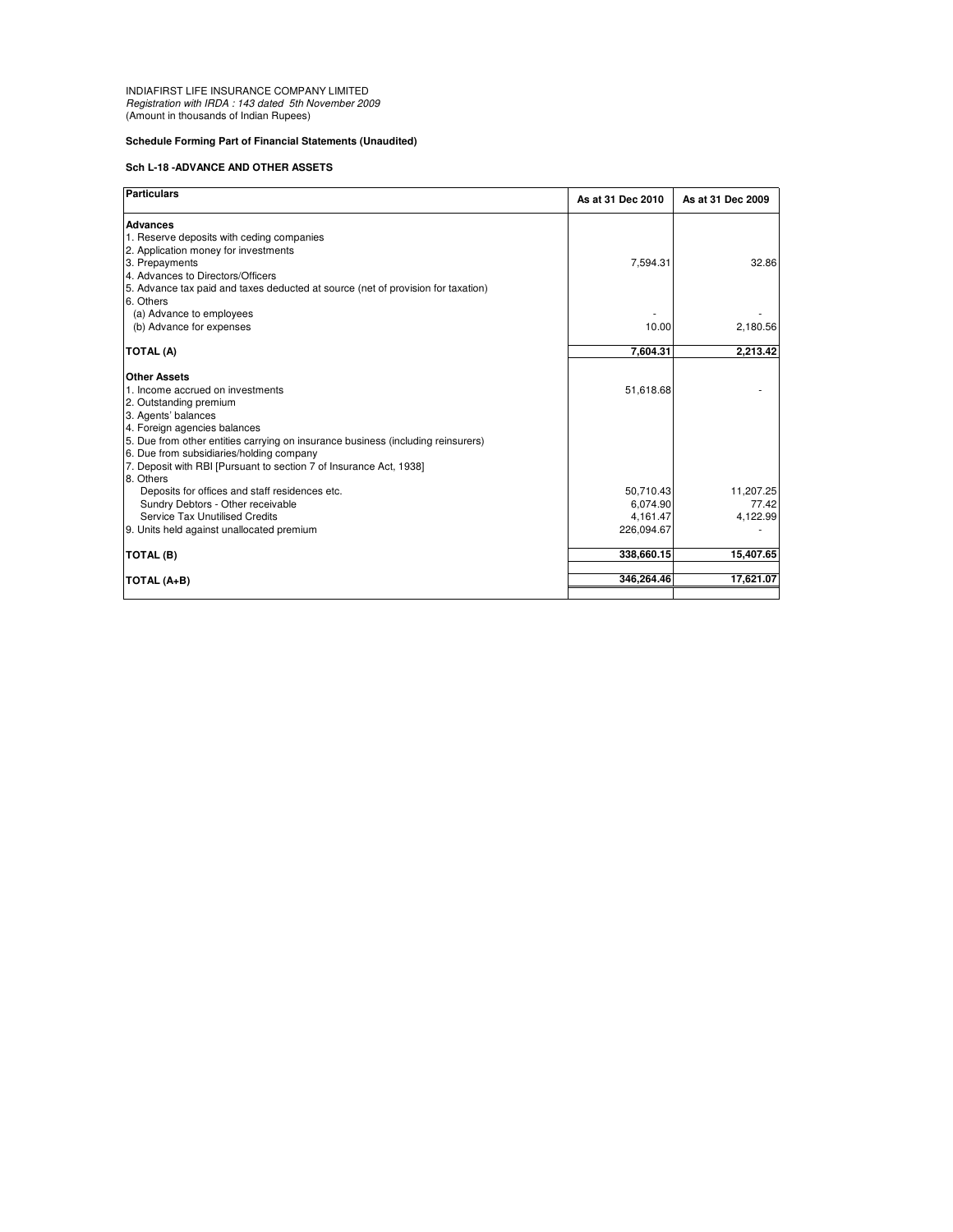INDIAFIRST LIFE INSURANCE COMPANY LIMITED Registration with IRDA : 143 dated 5th November 2009 (Amount in thousands of Indian Rupees)

## **Schedule Forming Part of Financial Statements (Unaudited)**

## **Sch L-18 -ADVANCE AND OTHER ASSETS**

| <b>Particulars</b>                                                               | As at 31 Dec 2010 | As at 31 Dec 2009 |
|----------------------------------------------------------------------------------|-------------------|-------------------|
| <b>Advances</b>                                                                  |                   |                   |
| 1. Reserve deposits with ceding companies                                        |                   |                   |
| 2. Application money for investments                                             |                   |                   |
| 3. Prepayments                                                                   | 7,594.31          | 32.86             |
| 4. Advances to Directors/Officers                                                |                   |                   |
| 5. Advance tax paid and taxes deducted at source (net of provision for taxation) |                   |                   |
| 6. Others                                                                        |                   |                   |
| (a) Advance to employees                                                         |                   |                   |
| (b) Advance for expenses                                                         | 10.00             | 2,180.56          |
| TOTAL (A)                                                                        | 7,604.31          | 2,213.42          |
|                                                                                  |                   |                   |
| <b>Other Assets</b>                                                              |                   |                   |
| 1. Income accrued on investments                                                 | 51,618.68         |                   |
| 2. Outstanding premium                                                           |                   |                   |
| 3. Agents' balances                                                              |                   |                   |
| 4. Foreign agencies balances                                                     |                   |                   |
| 5. Due from other entities carrying on insurance business (including reinsurers) |                   |                   |
| 6. Due from subsidiaries/holding company                                         |                   |                   |
| 7. Deposit with RBI [Pursuant to section 7 of Insurance Act, 1938]               |                   |                   |
| 8. Others                                                                        |                   |                   |
| Deposits for offices and staff residences etc.                                   | 50,710.43         | 11,207.25         |
| Sundry Debtors - Other receivable                                                | 6.074.90          | 77.42             |
| Service Tax Unutilised Credits                                                   | 4,161.47          | 4,122.99          |
| 9. Units held against unallocated premium                                        | 226,094.67        |                   |
| TOTAL (B)                                                                        | 338,660.15        | 15,407.65         |
|                                                                                  |                   |                   |
| TOTAL (A+B)                                                                      | 346.264.46        | 17,621.07         |
|                                                                                  |                   |                   |